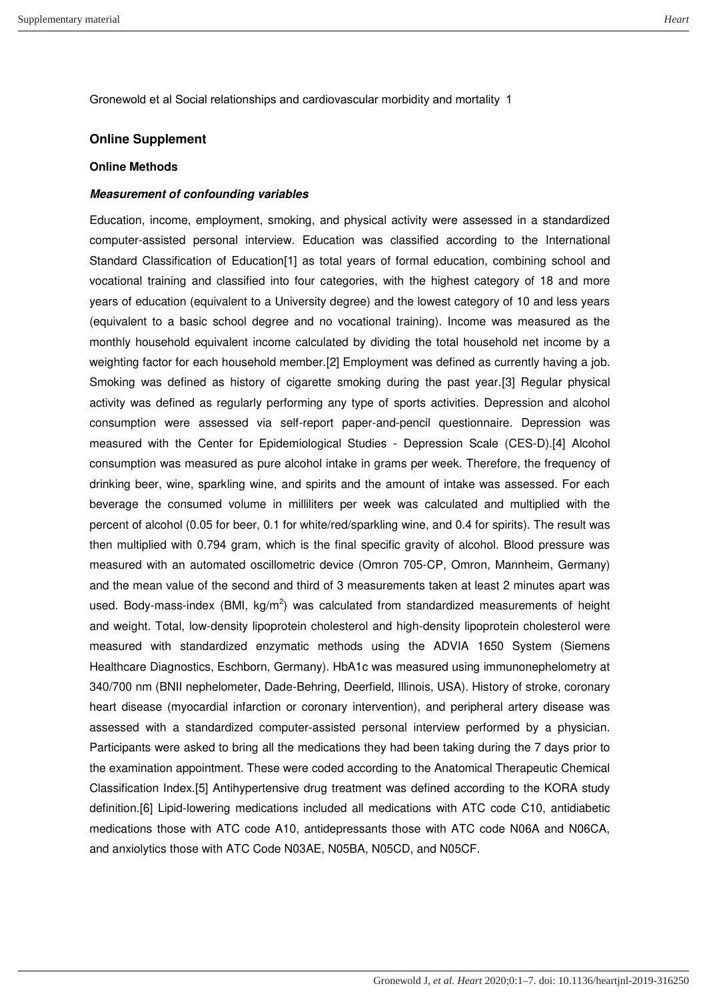### **Online Supplement**

#### **Online Methods**

#### *Measurement of confounding variables*

Education, income, employment, smoking, and physical activity were assessed in a standardized computer-assisted personal interview. Education was classified according to the International Standard Classification of Education[1] as total years of formal education, combining school and vocational training and classified into four categories, with the highest category of 18 and more years of education (equivalent to a University degree) and the lowest category of 10 and less years (equivalent to a basic school degree and no vocational training). Income was measured as the monthly household equivalent income calculated by dividing the total household net income by a weighting factor for each household member.[2] Employment was defined as currently having a job. Smoking was defined as history of cigarette smoking during the past year.[3] Regular physical activity was defined as regularly performing any type of sports activities. Depression and alcohol consumption were assessed via self-report paper-and-pencil questionnaire. Depression was measured with the Center for Epidemiological Studies - Depression Scale (CES-D).[4] Alcohol consumption was measured as pure alcohol intake in grams per week. Therefore, the frequency of drinking beer, wine, sparkling wine, and spirits and the amount of intake was assessed. For each beverage the consumed volume in milliliters per week was calculated and multiplied with the percent of alcohol (0.05 for beer, 0.1 for white/red/sparkling wine, and 0.4 for spirits). The result was then multiplied with 0.794 gram, which is the final specific gravity of alcohol. Blood pressure was measured with an automated oscillometric device (Omron 705-CP, Omron, Mannheim, Germany) and the mean value of the second and third of 3 measurements taken at least 2 minutes apart was used. Body-mass-index (BMI,  $kg/m^2$ ) was calculated from standardized measurements of height and weight. Total, low-density lipoprotein cholesterol and high-density lipoprotein cholesterol were measured with standardized enzymatic methods using the ADVIA 1650 System (Siemens Healthcare Diagnostics, Eschborn, Germany). HbA1c was measured using immunonephelometry at 340/700 nm (BNII nephelometer, Dade-Behring, Deerfield, Illinois, USA). History of stroke, coronary heart disease (myocardial infarction or coronary intervention), and peripheral artery disease was assessed with a standardized computer-assisted personal interview performed by a physician. Participants were asked to bring all the medications they had been taking during the 7 days prior to the examination appointment. These were coded according to the Anatomical Therapeutic Chemical Classification Index.[5] Antihypertensive drug treatment was defined according to the KORA study definition.[6] Lipid-lowering medications included all medications with ATC code C10, antidiabetic medications those with ATC code A10, antidepressants those with ATC code N06A and N06CA, and anxiolytics those with ATC Code N03AE, N05BA, N05CD, and N05CF.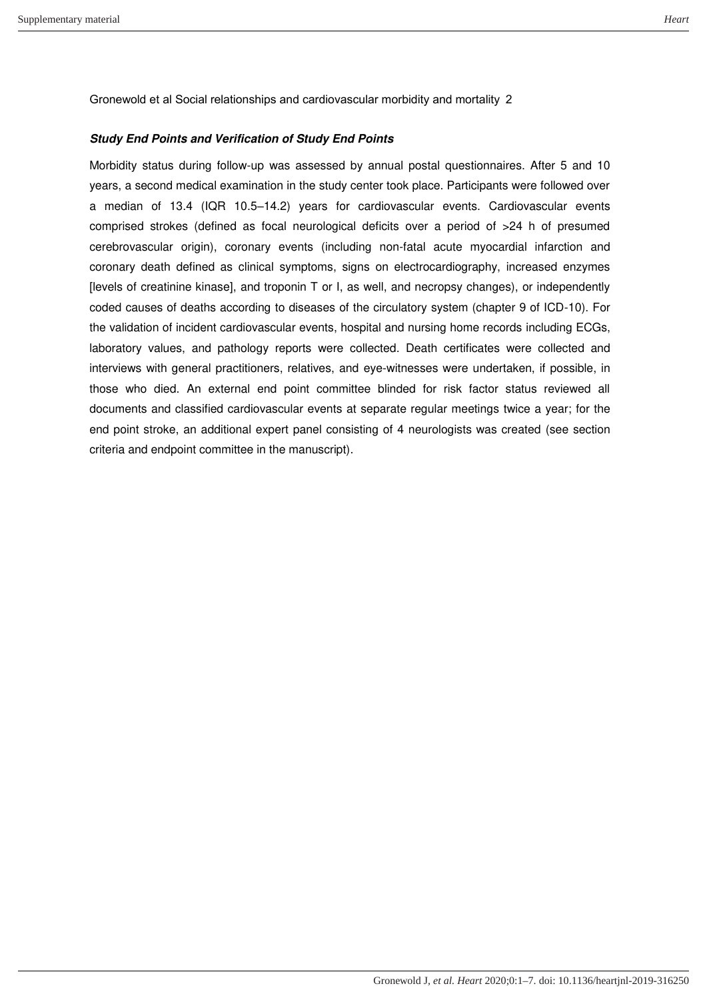### *Study End Points and Verification of Study End Points*

Morbidity status during follow-up was assessed by annual postal questionnaires. After 5 and 10 years, a second medical examination in the study center took place. Participants were followed over a median of 13.4 (IQR 10.5–14.2) years for cardiovascular events. Cardiovascular events comprised strokes (defined as focal neurological deficits over a period of >24 h of presumed cerebrovascular origin), coronary events (including non-fatal acute myocardial infarction and coronary death defined as clinical symptoms, signs on electrocardiography, increased enzymes [levels of creatinine kinase], and troponin T or I, as well, and necropsy changes), or independently coded causes of deaths according to diseases of the circulatory system (chapter 9 of ICD-10). For the validation of incident cardiovascular events, hospital and nursing home records including ECGs, laboratory values, and pathology reports were collected. Death certificates were collected and interviews with general practitioners, relatives, and eye-witnesses were undertaken, if possible, in those who died. An external end point committee blinded for risk factor status reviewed all documents and classified cardiovascular events at separate regular meetings twice a year; for the end point stroke, an additional expert panel consisting of 4 neurologists was created (see section criteria and endpoint committee in the manuscript).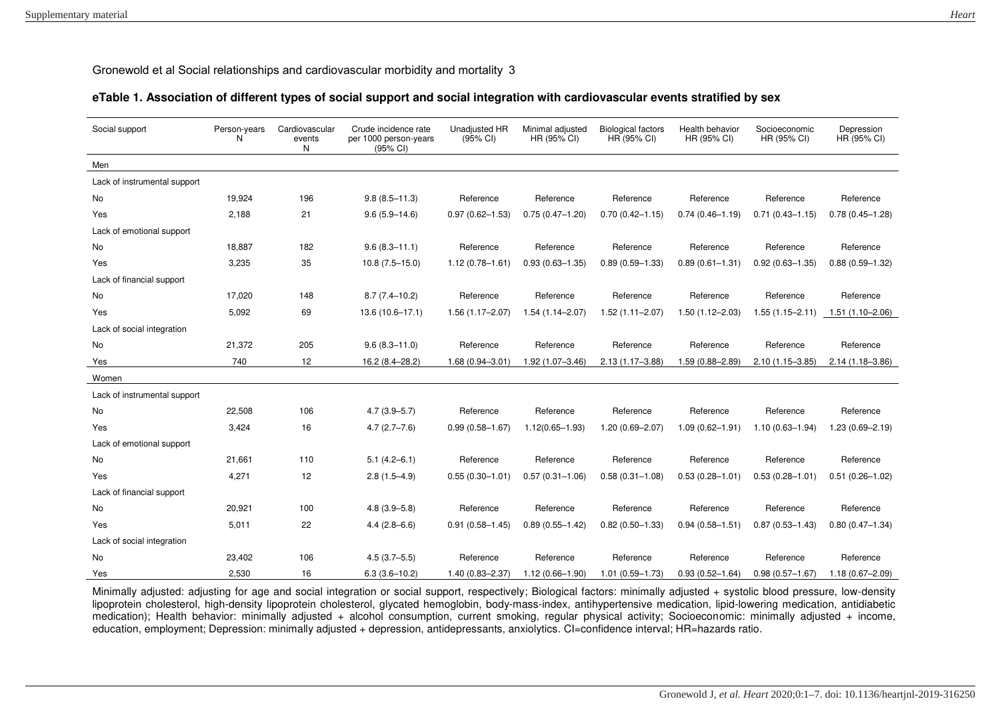### **eTable 1. Association of different types of social support and social integration with cardiovascular events stratified by sex**

| Social support               | Person-years<br>N | Cardiovascular<br>events<br>N | Crude incidence rate<br>per 1000 person-years<br>$(95% \text{ Cl})$ | <b>Unadjusted HR</b><br>(95% CI) | Minimal adjusted<br>HR (95% CI) | <b>Biological factors</b><br>HR (95% CI) | Health behavior<br>HR (95% CI) | Socioeconomic<br>HR (95% CI) | Depression<br>HR (95% CI) |
|------------------------------|-------------------|-------------------------------|---------------------------------------------------------------------|----------------------------------|---------------------------------|------------------------------------------|--------------------------------|------------------------------|---------------------------|
| Men                          |                   |                               |                                                                     |                                  |                                 |                                          |                                |                              |                           |
| Lack of instrumental support |                   |                               |                                                                     |                                  |                                 |                                          |                                |                              |                           |
| No                           | 19,924            | 196                           | $9.8(8.5 - 11.3)$                                                   | Reference                        | Reference                       | Reference                                | Reference                      | Reference                    | Reference                 |
| Yes                          | 2,188             | 21                            | $9.6(5.9 - 14.6)$                                                   | $0.97(0.62 - 1.53)$              | $0.75(0.47 - 1.20)$             | $0.70(0.42 - 1.15)$                      | $0.74(0.46 - 1.19)$            | $0.71(0.43 - 1.15)$          | $0.78(0.45 - 1.28)$       |
| Lack of emotional support    |                   |                               |                                                                     |                                  |                                 |                                          |                                |                              |                           |
| No                           | 18,887            | 182                           | $9.6(8.3 - 11.1)$                                                   | Reference                        | Reference                       | Reference                                | Reference                      | Reference                    | Reference                 |
| Yes                          | 3,235             | 35                            | $10.8(7.5 - 15.0)$                                                  | $1.12(0.78 - 1.61)$              | $0.93(0.63 - 1.35)$             | $0.89(0.59 - 1.33)$                      | $0.89(0.61 - 1.31)$            | $0.92(0.63 - 1.35)$          | $0.88(0.59 - 1.32)$       |
| Lack of financial support    |                   |                               |                                                                     |                                  |                                 |                                          |                                |                              |                           |
| <b>No</b>                    | 17,020            | 148                           | $8.7(7.4 - 10.2)$                                                   | Reference                        | Reference                       | Reference                                | Reference                      | Reference                    | Reference                 |
| Yes                          | 5,092             | 69                            | $13.6(10.6 - 17.1)$                                                 | $1.56(1.17 - 2.07)$              | $1.54(1.14 - 2.07)$             | $1.52(1.11 - 2.07)$                      | $1.50(1.12 - 2.03)$            | $1.55(1.15 - 2.11)$          | 1.51 (1.10-2.06)          |
| Lack of social integration   |                   |                               |                                                                     |                                  |                                 |                                          |                                |                              |                           |
| No                           | 21,372            | 205                           | $9.6(8.3 - 11.0)$                                                   | Reference                        | Reference                       | Reference                                | Reference                      | Reference                    | Reference                 |
| Yes                          | 740               | 12                            | 16.2 (8.4-28.2)                                                     | 1.68 (0.94-3.01                  | $1.92(1.07 - 3.46)$             | $2.13(1.17 - 3.88)$                      | 1.59 (0.88-2.89)               | 2.10 (1.15-3.85)             | 2.14 (1.18-3.86)          |
| Women                        |                   |                               |                                                                     |                                  |                                 |                                          |                                |                              |                           |
| Lack of instrumental support |                   |                               |                                                                     |                                  |                                 |                                          |                                |                              |                           |
| No                           | 22,508            | 106                           | $4.7(3.9 - 5.7)$                                                    | Reference                        | Reference                       | Reference                                | Reference                      | Reference                    | Reference                 |
| Yes                          | 3,424             | 16                            | $4.7(2.7 - 7.6)$                                                    | $0.99(0.58 - 1.67)$              | $1.12(0.65 - 1.93)$             | $1.20(0.69 - 2.07)$                      | $1.09(0.62 - 1.91)$            | $1.10(0.63 - 1.94)$          | $1.23(0.69 - 2.19)$       |
| Lack of emotional support    |                   |                               |                                                                     |                                  |                                 |                                          |                                |                              |                           |
| <b>No</b>                    | 21,661            | 110                           | $5.1(4.2 - 6.1)$                                                    | Reference                        | Reference                       | Reference                                | Reference                      | Reference                    | Reference                 |
| Yes                          | 4,271             | 12                            | $2.8(1.5-4.9)$                                                      | $0.55(0.30 - 1.01)$              | $0.57(0.31 - 1.06)$             | $0.58(0.31 - 1.08)$                      | $0.53(0.28 - 1.01)$            | $0.53(0.28 - 1.01)$          | $0.51(0.26 - 1.02)$       |
| Lack of financial support    |                   |                               |                                                                     |                                  |                                 |                                          |                                |                              |                           |
| <b>No</b>                    | 20,921            | 100                           | $4.8(3.9 - 5.8)$                                                    | Reference                        | Reference                       | Reference                                | Reference                      | Reference                    | Reference                 |
| Yes                          | 5,011             | 22                            | $4.4(2.8 - 6.6)$                                                    | $0.91(0.58 - 1.45)$              | $0.89(0.55 - 1.42)$             | $0.82(0.50 - 1.33)$                      | $0.94(0.58 - 1.51)$            | $0.87(0.53 - 1.43)$          | $0.80(0.47 - 1.34)$       |
| Lack of social integration   |                   |                               |                                                                     |                                  |                                 |                                          |                                |                              |                           |
| No                           | 23,402            | 106                           | $4.5(3.7 - 5.5)$                                                    | Reference                        | Reference                       | Reference                                | Reference                      | Reference                    | Reference                 |
| Yes                          | 2,530             | 16                            | $6.3(3.6 - 10.2)$                                                   | $1.40(0.83 - 2.37)$              | $1.12(0.66 - 1.90)$             | $1.01(0.59 - 1.73)$                      | $0.93(0.52 - 1.64)$            | $0.98(0.57 - 1.67)$          | $1.18(0.67 - 2.09)$       |

Minimally adjusted: adjusting for age and social integration or social support, respectively; Biological factors: minimally adjusted + systolic blood pressure, low-density lipoprotein cholesterol, high-density lipoprotein cholesterol, glycated hemoglobin, body-mass-index, antihypertensive medication, lipid-lowering medication, antidiabetic medication); Health behavior: minimally adjusted + alcohol consumption, current smoking, regular physical activity; Socioeconomic: minimally adjusted + income, education, employment; Depression: minimally adjusted + depression, antidepressants, anxiolytics. CI=confidence interval; HR=hazards ratio.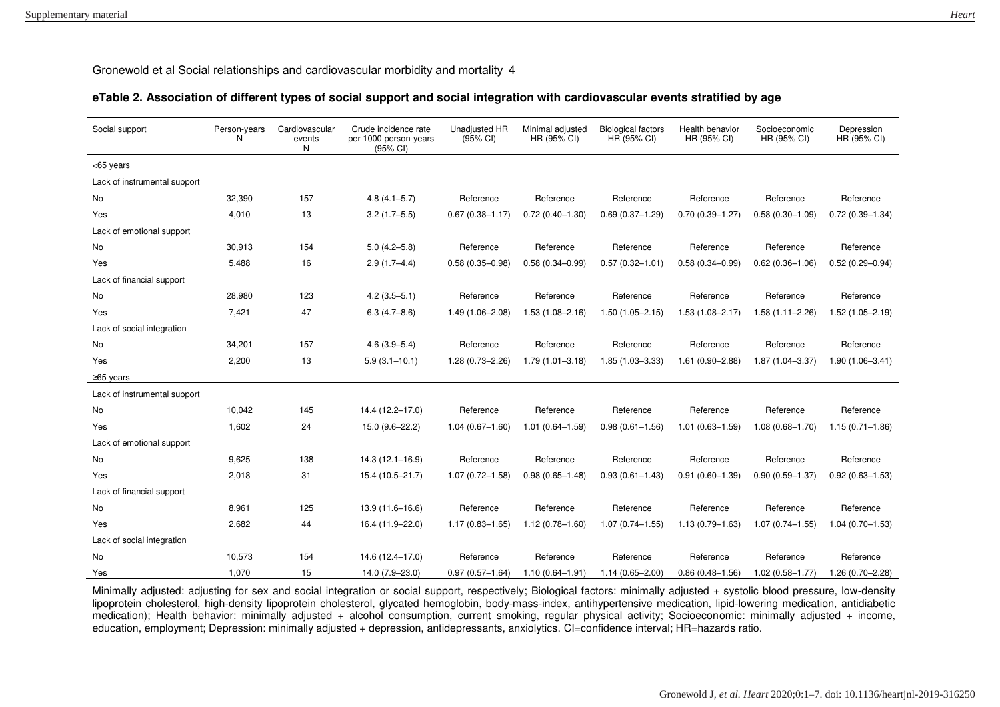## **eTable 2. Association of different types of social support and social integration with cardiovascular events stratified by age**

| Social support               | Person-years<br>N | Cardiovascular<br>events<br>N | Crude incidence rate<br>per 1000 person-years<br>$(95% \text{ Cl})$ | Unadjusted HR<br>(95% CI) | Minimal adjusted<br>HR (95% CI) | <b>Biological factors</b><br>HR (95% CI) | Health behavior<br>HR (95% CI) | Socioeconomic<br>HR (95% CI) | Depression<br>HR (95% CI) |
|------------------------------|-------------------|-------------------------------|---------------------------------------------------------------------|---------------------------|---------------------------------|------------------------------------------|--------------------------------|------------------------------|---------------------------|
| <65 years                    |                   |                               |                                                                     |                           |                                 |                                          |                                |                              |                           |
| Lack of instrumental support |                   |                               |                                                                     |                           |                                 |                                          |                                |                              |                           |
| <b>No</b>                    | 32,390            | 157                           | $4.8(4.1 - 5.7)$                                                    | Reference                 | Reference                       | Reference                                | Reference                      | Reference                    | Reference                 |
| Yes                          | 4.010             | 13                            | $3.2(1.7 - 5.5)$                                                    | $0.67(0.38 - 1.17)$       | $0.72(0.40 - 1.30)$             | $0.69(0.37 - 1.29)$                      | $0.70(0.39 - 1.27)$            | $0.58(0.30 - 1.09)$          | $0.72(0.39 - 1.34)$       |
| Lack of emotional support    |                   |                               |                                                                     |                           |                                 |                                          |                                |                              |                           |
| No                           | 30,913            | 154                           | $5.0(4.2 - 5.8)$                                                    | Reference                 | Reference                       | Reference                                | Reference                      | Reference                    | Reference                 |
| Yes                          | 5,488             | 16                            | $2.9(1.7 - 4.4)$                                                    | $0.58(0.35 - 0.98)$       | $0.58(0.34 - 0.99)$             | $0.57(0.32 - 1.01)$                      | $0.58(0.34 - 0.99)$            | $0.62(0.36 - 1.06)$          | $0.52(0.29 - 0.94)$       |
| Lack of financial support    |                   |                               |                                                                     |                           |                                 |                                          |                                |                              |                           |
| <b>No</b>                    | 28,980            | 123                           | $4.2(3.5 - 5.1)$                                                    | Reference                 | Reference                       | Reference                                | Reference                      | Reference                    | Reference                 |
| Yes                          | 7,421             | 47                            | $6.3(4.7 - 8.6)$                                                    | 1.49 (1.06-2.08)          | $1.53(1.08 - 2.16)$             | $1.50(1.05 - 2.15)$                      | $1.53(1.08 - 2.17)$            | $1.58(1.11 - 2.26)$          | $1.52(1.05 - 2.19)$       |
| Lack of social integration   |                   |                               |                                                                     |                           |                                 |                                          |                                |                              |                           |
| No                           | 34,201            | 157                           | $4.6(3.9 - 5.4)$                                                    | Reference                 | Reference                       | Reference                                | Reference                      | Reference                    | Reference                 |
| Yes                          | 2,200             | 13                            | $5.9(3.1 - 10.1)$                                                   | 1.28 (0.73-2.26)          | $1.79(1.01 - 3.18)$             | 1.85 (1.03-3.33)                         | 1.61 (0.90-2.88)               | 1.87 (1.04-3.37)             | $1.90(1.06 - 3.41)$       |
| ≥65 years                    |                   |                               |                                                                     |                           |                                 |                                          |                                |                              |                           |
| Lack of instrumental support |                   |                               |                                                                     |                           |                                 |                                          |                                |                              |                           |
| No                           | 10,042            | 145                           | 14.4 (12.2-17.0)                                                    | Reference                 | Reference                       | Reference                                | Reference                      | Reference                    | Reference                 |
| Yes                          | 1,602             | 24                            | 15.0 (9.6-22.2)                                                     | $1.04(0.67 - 1.60)$       | $1.01(0.64 - 1.59)$             | $0.98(0.61 - 1.56)$                      | $1.01(0.63 - 1.59)$            | $1.08(0.68 - 1.70)$          | $1.15(0.71 - 1.86)$       |
| Lack of emotional support    |                   |                               |                                                                     |                           |                                 |                                          |                                |                              |                           |
| <b>No</b>                    | 9,625             | 138                           | $14.3(12.1 - 16.9)$                                                 | Reference                 | Reference                       | Reference                                | Reference                      | Reference                    | Reference                 |
| Yes                          | 2,018             | 31                            | 15.4 (10.5-21.7)                                                    | $1.07(0.72 - 1.58)$       | $0.98(0.65 - 1.48)$             | $0.93(0.61 - 1.43)$                      | $0.91(0.60 - 1.39)$            | $0.90(0.59 - 1.37)$          | $0.92(0.63 - 1.53)$       |
| Lack of financial support    |                   |                               |                                                                     |                           |                                 |                                          |                                |                              |                           |
| No                           | 8,961             | 125                           | 13.9 (11.6-16.6)                                                    | Reference                 | Reference                       | Reference                                | Reference                      | Reference                    | Reference                 |
| Yes                          | 2.682             | 44                            | 16.4 (11.9-22.0)                                                    | $1.17(0.83 - 1.65)$       | $1.12(0.78 - 1.60)$             | $1.07(0.74 - 1.55)$                      | $1.13(0.79 - 1.63)$            | $1.07(0.74 - 1.55)$          | $1.04(0.70 - 1.53)$       |
| Lack of social integration   |                   |                               |                                                                     |                           |                                 |                                          |                                |                              |                           |
| No                           | 10,573            | 154                           | 14.6 (12.4-17.0)                                                    | Reference                 | Reference                       | Reference                                | Reference                      | Reference                    | Reference                 |
| Yes                          | 1.070             | 15                            | 14.0 (7.9-23.0)                                                     | $0.97(0.57 - 1.64)$       | $1.10(0.64 - 1.91)$             | $1.14(0.65 - 2.00)$                      | $0.86(0.48 - 1.56)$            | $1.02(0.58 - 1.77)$          | 1.26 (0.70-2.28)          |

Minimally adjusted: adjusting for sex and social integration or social support, respectively; Biological factors: minimally adjusted + systolic blood pressure, low-density lipoprotein cholesterol, high-density lipoprotein cholesterol, glycated hemoglobin, body-mass-index, antihypertensive medication, lipid-lowering medication, antidiabetic medication); Health behavior: minimally adjusted + alcohol consumption, current smoking, regular physical activity; Socioeconomic: minimally adjusted + income, education, employment; Depression: minimally adjusted + depression, antidepressants, anxiolytics. CI=confidence interval; HR=hazards ratio.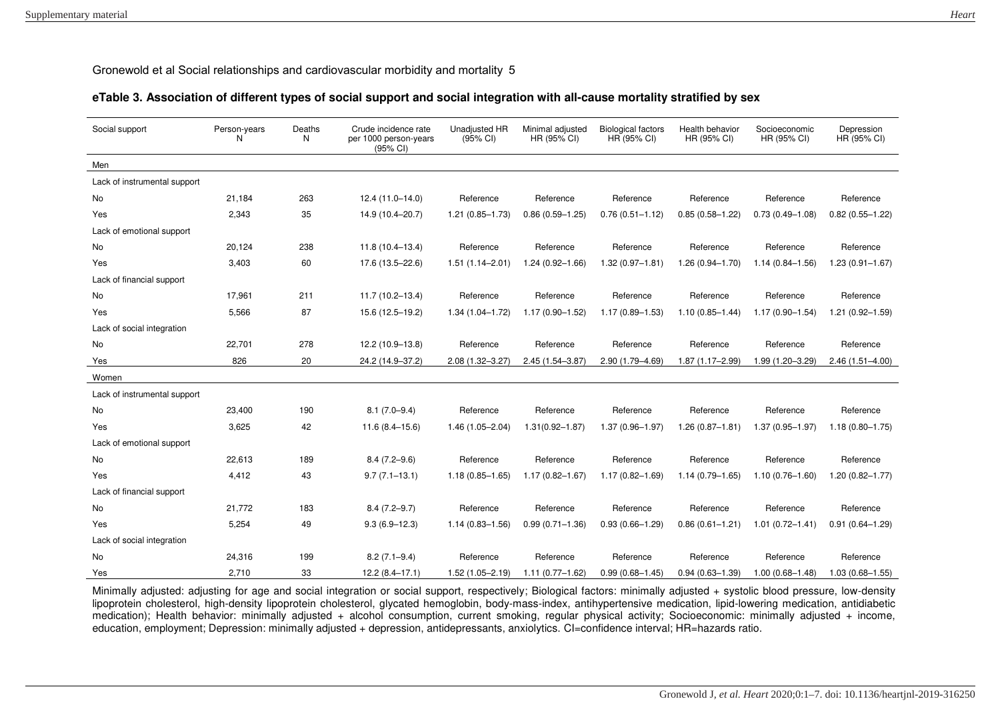## **eTable 3. Association of different types of social support and social integration with all-cause mortality stratified by sex**

| Social support               | Person-years<br>N | Deaths<br>N | Crude incidence rate<br>per 1000 person-years<br>$(95% \text{ Cl})$ | <b>Unadjusted HR</b><br>(95% CI) | Minimal adjusted<br>HR (95% CI) | <b>Biological factors</b><br>HR (95% CI) | Health behavior<br>HR (95% CI) | Socioeconomic<br>HR (95% CI) | Depression<br>HR (95% CI) |
|------------------------------|-------------------|-------------|---------------------------------------------------------------------|----------------------------------|---------------------------------|------------------------------------------|--------------------------------|------------------------------|---------------------------|
| Men                          |                   |             |                                                                     |                                  |                                 |                                          |                                |                              |                           |
| Lack of instrumental support |                   |             |                                                                     |                                  |                                 |                                          |                                |                              |                           |
| <b>No</b>                    | 21.184            | 263         | $12.4(11.0-14.0)$                                                   | Reference                        | Reference                       | Reference                                | Reference                      | Reference                    | Reference                 |
| Yes                          | 2,343             | 35          | 14.9 (10.4-20.7)                                                    | $1.21(0.85 - 1.73)$              | $0.86(0.59 - 1.25)$             | $0.76(0.51 - 1.12)$                      | $0.85(0.58 - 1.22)$            | $0.73(0.49 - 1.08)$          | $0.82(0.55 - 1.22)$       |
| Lack of emotional support    |                   |             |                                                                     |                                  |                                 |                                          |                                |                              |                           |
| <b>No</b>                    | 20,124            | 238         | $11.8(10.4 - 13.4)$                                                 | Reference                        | Reference                       | Reference                                | Reference                      | Reference                    | Reference                 |
| Yes                          | 3,403             | 60          | 17.6 (13.5-22.6)                                                    | $1.51(1.14 - 2.01)$              | $1.24(0.92 - 1.66)$             | $1.32(0.97 - 1.81)$                      | 1.26 (0.94-1.70)               | $1.14(0.84 - 1.56)$          | $1.23(0.91 - 1.67)$       |
| Lack of financial support    |                   |             |                                                                     |                                  |                                 |                                          |                                |                              |                           |
| No                           | 17,961            | 211         | $11.7(10.2 - 13.4)$                                                 | Reference                        | Reference                       | Reference                                | Reference                      | Reference                    | Reference                 |
| Yes                          | 5,566             | 87          | 15.6 (12.5-19.2)                                                    | $1.34(1.04 - 1.72)$              | $1.17(0.90 - 1.52)$             | $1.17(0.89 - 1.53)$                      | $1.10(0.85 - 1.44)$            | $1.17(0.90 - 1.54)$          | $1.21(0.92 - 1.59)$       |
| Lack of social integration   |                   |             |                                                                     |                                  |                                 |                                          |                                |                              |                           |
| No                           | 22,701            | 278         | 12.2 (10.9-13.8)                                                    | Reference                        | Reference                       | Reference                                | Reference                      | Reference                    | Reference                 |
| Yes                          | 826               | 20          | 24.2 (14.9-37.2)                                                    | 2.08 (1.32-3.27)                 | 2.45 (1.54-3.87)                | 2.90 (1.79-4.69)                         | 1.87 (1.17-2.99)               | 1.99 (1.20-3.29)             | $2.46(1.51 - 4.00)$       |
| Women                        |                   |             |                                                                     |                                  |                                 |                                          |                                |                              |                           |
| Lack of instrumental support |                   |             |                                                                     |                                  |                                 |                                          |                                |                              |                           |
| No                           | 23,400            | 190         | $8.1(7.0 - 9.4)$                                                    | Reference                        | Reference                       | Reference                                | Reference                      | Reference                    | Reference                 |
| Yes                          | 3,625             | 42          | $11.6(8.4 - 15.6)$                                                  | $1.46(1.05 - 2.04)$              | $1.31(0.92 - 1.87)$             | $1.37(0.96 - 1.97)$                      | $1.26(0.87 - 1.81)$            | $1.37(0.95 - 1.97)$          | $1.18(0.80 - 1.75)$       |
| Lack of emotional support    |                   |             |                                                                     |                                  |                                 |                                          |                                |                              |                           |
| <b>No</b>                    | 22,613            | 189         | $8.4(7.2 - 9.6)$                                                    | Reference                        | Reference                       | Reference                                | Reference                      | Reference                    | Reference                 |
| Yes                          | 4,412             | 43          | $9.7(7.1 - 13.1)$                                                   | $1.18(0.85 - 1.65)$              | $1.17(0.82 - 1.67)$             | $1.17(0.82 - 1.69)$                      | $1.14(0.79 - 1.65)$            | $1.10(0.76 - 1.60)$          | $1.20(0.82 - 1.77)$       |
| Lack of financial support    |                   |             |                                                                     |                                  |                                 |                                          |                                |                              |                           |
| No                           | 21,772            | 183         | $8.4(7.2 - 9.7)$                                                    | Reference                        | Reference                       | Reference                                | Reference                      | Reference                    | Reference                 |
| Yes                          | 5.254             | 49          | $9.3(6.9 - 12.3)$                                                   | $1.14(0.83 - 1.56)$              | $0.99(0.71 - 1.36)$             | $0.93(0.66 - 1.29)$                      | $0.86(0.61 - 1.21)$            | $1.01(0.72 - 1.41)$          | $0.91(0.64 - 1.29)$       |
| Lack of social integration   |                   |             |                                                                     |                                  |                                 |                                          |                                |                              |                           |
| No                           | 24,316            | 199         | $8.2(7.1 - 9.4)$                                                    | Reference                        | Reference                       | Reference                                | Reference                      | Reference                    | Reference                 |
| Yes                          | 2.710             | 33          | $12.2(8.4 - 17.1)$                                                  | $1.52(1.05 - 2.19)$              | $1.11(0.77 - 1.62)$             | $0.99(0.68 - 1.45)$                      | $0.94(0.63 - 1.39)$            | $1.00(0.68 - 1.48)$          | $1.03(0.68 - 1.55)$       |

Minimally adjusted: adjusting for age and social integration or social support, respectively; Biological factors: minimally adjusted + systolic blood pressure, low-density lipoprotein cholesterol, high-density lipoprotein cholesterol, glycated hemoglobin, body-mass-index, antihypertensive medication, lipid-lowering medication, antidiabetic medication); Health behavior: minimally adjusted + alcohol consumption, current smoking, regular physical activity; Socioeconomic: minimally adjusted + income, education, employment; Depression: minimally adjusted + depression, antidepressants, anxiolytics. CI=confidence interval; HR=hazards ratio.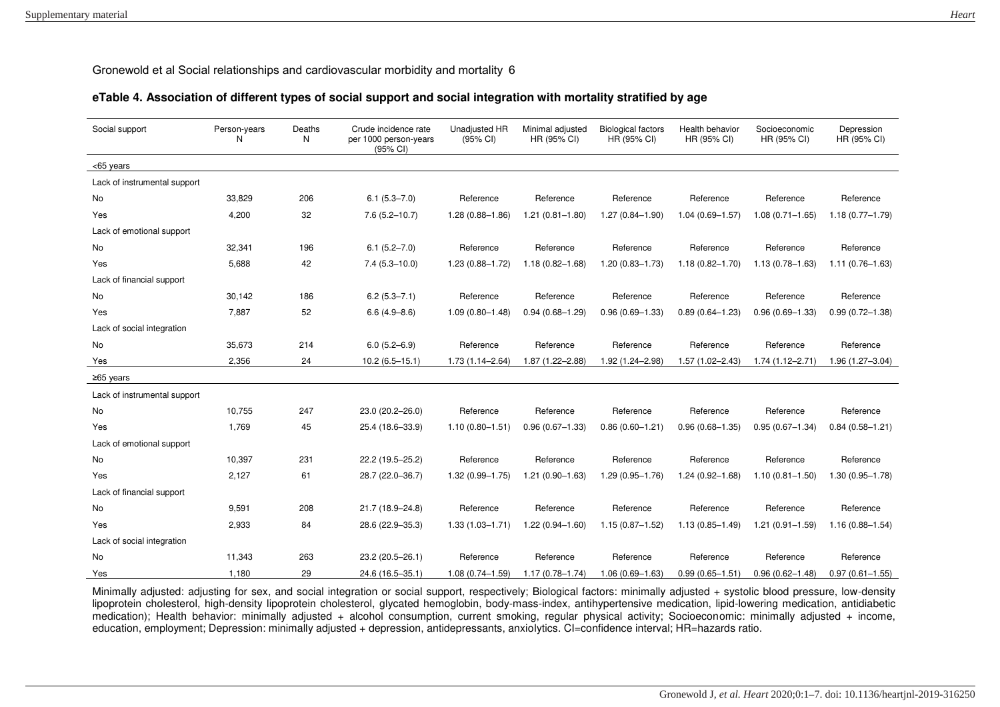# **eTable 4. Association of different types of social support and social integration with mortality stratified by age**

| Social support               | Person-years<br>N | Deaths<br>N | Crude incidence rate<br>per 1000 person-years<br>(95% CI) | <b>Unadjusted HR</b><br>(95% CI) | Minimal adjusted<br>HR (95% CI) | <b>Biological factors</b><br>HR (95% CI) | Health behavior<br>HR (95% CI) | Socioeconomic<br>HR (95% CI) | Depression<br>HR (95% CI) |
|------------------------------|-------------------|-------------|-----------------------------------------------------------|----------------------------------|---------------------------------|------------------------------------------|--------------------------------|------------------------------|---------------------------|
| <65 years                    |                   |             |                                                           |                                  |                                 |                                          |                                |                              |                           |
| Lack of instrumental support |                   |             |                                                           |                                  |                                 |                                          |                                |                              |                           |
| No                           | 33,829            | 206         | $6.1(5.3 - 7.0)$                                          | Reference                        | Reference                       | Reference                                | Reference                      | Reference                    | Reference                 |
| Yes                          | 4,200             | 32          | $7.6(5.2 - 10.7)$                                         | $1.28(0.88 - 1.86)$              | $1.21(0.81 - 1.80)$             | $1.27(0.84 - 1.90)$                      | $1.04(0.69 - 1.57)$            | $1.08(0.71 - 1.65)$          | $1.18(0.77 - 1.79)$       |
| Lack of emotional support    |                   |             |                                                           |                                  |                                 |                                          |                                |                              |                           |
| No                           | 32,341            | 196         | $6.1(5.2 - 7.0)$                                          | Reference                        | Reference                       | Reference                                | Reference                      | Reference                    | Reference                 |
| Yes                          | 5.688             | 42          | $7.4(5.3 - 10.0)$                                         | 1.23 (0.88-1.72)                 | $1.18(0.82 - 1.68)$             | $1.20(0.83 - 1.73)$                      | $1.18(0.82 - 1.70)$            | $1.13(0.78 - 1.63)$          | $1.11(0.76 - 1.63)$       |
| Lack of financial support    |                   |             |                                                           |                                  |                                 |                                          |                                |                              |                           |
| No                           | 30,142            | 186         | $6.2(5.3 - 7.1)$                                          | Reference                        | Reference                       | Reference                                | Reference                      | Reference                    | Reference                 |
| Yes                          | 7.887             | 52          | $6.6(4.9 - 8.6)$                                          | $1.09(0.80 - 1.48)$              | $0.94(0.68 - 1.29)$             | $0.96(0.69 - 1.33)$                      | $0.89(0.64 - 1.23)$            | $0.96(0.69 - 1.33)$          | $0.99(0.72 - 1.38)$       |
| Lack of social integration   |                   |             |                                                           |                                  |                                 |                                          |                                |                              |                           |
| No                           | 35,673            | 214         | $6.0(5.2 - 6.9)$                                          | Reference                        | Reference                       | Reference                                | Reference                      | Reference                    | Reference                 |
| Yes                          | 2,356             | 24          | $10.2(6.5 - 15.1)$                                        | $1.73(1.14 - 2.64)$              | 1.87 (1.22-2.88)                | 1.92 (1.24-2.98)                         | 1.57 (1.02-2.43)               | 1.74 (1.12-2.71)             | 1.96 (1.27-3.04)          |
| $≥65$ years                  |                   |             |                                                           |                                  |                                 |                                          |                                |                              |                           |
| Lack of instrumental support |                   |             |                                                           |                                  |                                 |                                          |                                |                              |                           |
| No                           | 10,755            | 247         | 23.0 (20.2-26.0)                                          | Reference                        | Reference                       | Reference                                | Reference                      | Reference                    | Reference                 |
| Yes                          | 1,769             | 45          | 25.4 (18.6-33.9)                                          | $1.10(0.80 - 1.51)$              | $0.96(0.67 - 1.33)$             | $0.86(0.60 - 1.21)$                      | $0.96(0.68 - 1.35)$            | $0.95(0.67 - 1.34)$          | $0.84(0.58 - 1.21)$       |
| Lack of emotional support    |                   |             |                                                           |                                  |                                 |                                          |                                |                              |                           |
| No                           | 10,397            | 231         | 22.2 (19.5-25.2)                                          | Reference                        | Reference                       | Reference                                | Reference                      | Reference                    | Reference                 |
| Yes                          | 2,127             | 61          | 28.7 (22.0-36.7)                                          | 1.32 (0.99-1.75)                 | $1.21(0.90 - 1.63)$             | 1.29 (0.95-1.76)                         | 1.24 (0.92-1.68)               | $1.10(0.81 - 1.50)$          | $1.30(0.95 - 1.78)$       |
| Lack of financial support    |                   |             |                                                           |                                  |                                 |                                          |                                |                              |                           |
| No                           | 9,591             | 208         | 21.7 (18.9-24.8)                                          | Reference                        | Reference                       | Reference                                | Reference                      | Reference                    | Reference                 |
| Yes                          | 2,933             | 84          | 28.6 (22.9-35.3)                                          | $1.33(1.03 - 1.71)$              | $1.22(0.94 - 1.60)$             | $1.15(0.87 - 1.52)$                      | $1.13(0.85 - 1.49)$            | $1.21(0.91 - 1.59)$          | $1.16(0.88 - 1.54)$       |
| Lack of social integration   |                   |             |                                                           |                                  |                                 |                                          |                                |                              |                           |
| No                           | 11,343            | 263         | 23.2 (20.5-26.1)                                          | Reference                        | Reference                       | Reference                                | Reference                      | Reference                    | Reference                 |
| Yes                          | 1.180             | 29          | 24.6 (16.5-35.1)                                          | $1.08(0.74 - 1.59)$              | $1.17(0.78 - 1.74)$             | $1.06(0.69 - 1.63)$                      | $0.99(0.65 - 1.51)$            | $0.96(0.62 - 1.48)$          | $0.97(0.61 - 1.55)$       |

Minimally adjusted: adjusting for sex, and social integration or social support, respectively; Biological factors: minimally adjusted + systolic blood pressure, low-density lipoprotein cholesterol, high-density lipoprotein cholesterol, glycated hemoglobin, body-mass-index, antihypertensive medication, lipid-lowering medication, antidiabetic medication); Health behavior: minimally adjusted + alcohol consumption, current smoking, regular physical activity; Socioeconomic: minimally adjusted + income, education, employment; Depression: minimally adjusted + depression, antidepressants, anxiolytics. CI=confidence interval; HR=hazards ratio.